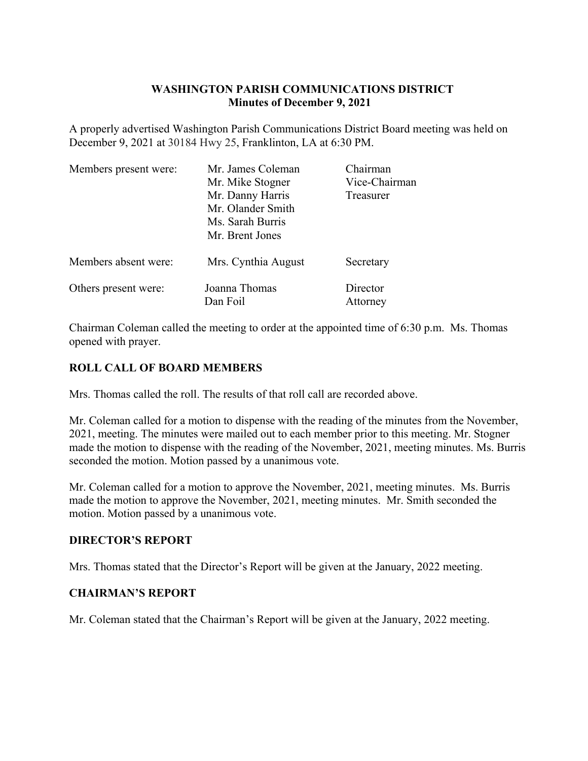# **WASHINGTON PARISH COMMUNICATIONS DISTRICT Minutes of December 9, 2021**

A properly advertised Washington Parish Communications District Board meeting was held on December 9, 2021 at 30184 Hwy 25, Franklinton, LA at 6:30 PM.

| Members present were: | Mr. James Coleman                   | Chairman      |
|-----------------------|-------------------------------------|---------------|
|                       | Mr. Mike Stogner                    | Vice-Chairman |
|                       | Mr. Danny Harris                    | Treasurer     |
|                       | Mr. Olander Smith                   |               |
|                       | Ms. Sarah Burris<br>Mr. Brent Jones |               |
|                       |                                     |               |
| Others present were:  | Joanna Thomas                       | Director      |
|                       | Dan Foil                            | Attorney      |

Chairman Coleman called the meeting to order at the appointed time of 6:30 p.m. Ms. Thomas opened with prayer.

# **ROLL CALL OF BOARD MEMBERS**

Mrs. Thomas called the roll. The results of that roll call are recorded above.

Mr. Coleman called for a motion to dispense with the reading of the minutes from the November, 2021, meeting. The minutes were mailed out to each member prior to this meeting. Mr. Stogner made the motion to dispense with the reading of the November, 2021, meeting minutes. Ms. Burris seconded the motion. Motion passed by a unanimous vote.

Mr. Coleman called for a motion to approve the November, 2021, meeting minutes. Ms. Burris made the motion to approve the November, 2021, meeting minutes. Mr. Smith seconded the motion. Motion passed by a unanimous vote.

# **DIRECTOR'S REPORT**

Mrs. Thomas stated that the Director's Report will be given at the January, 2022 meeting.

### **CHAIRMAN'S REPORT**

Mr. Coleman stated that the Chairman's Report will be given at the January, 2022 meeting.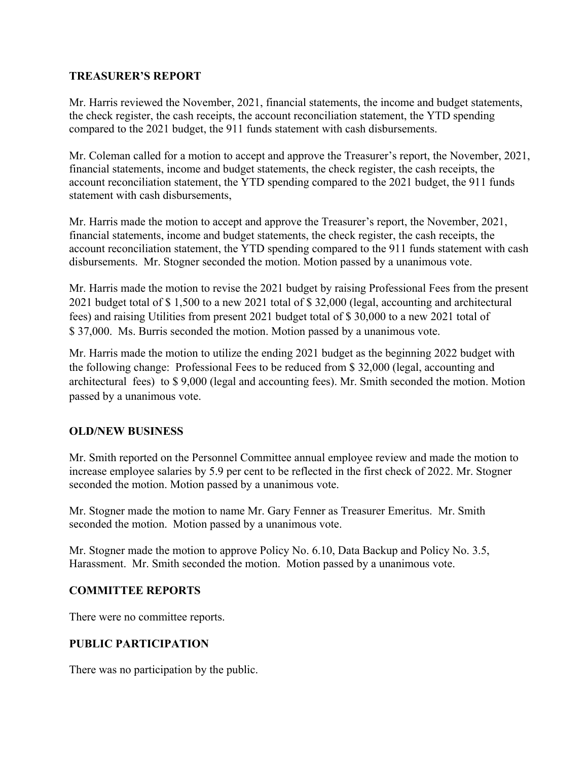### **TREASURER'S REPORT**

Mr. Harris reviewed the November, 2021, financial statements, the income and budget statements, the check register, the cash receipts, the account reconciliation statement, the YTD spending compared to the 2021 budget, the 911 funds statement with cash disbursements.

Mr. Coleman called for a motion to accept and approve the Treasurer's report, the November, 2021, financial statements, income and budget statements, the check register, the cash receipts, the account reconciliation statement, the YTD spending compared to the 2021 budget, the 911 funds statement with cash disbursements,

Mr. Harris made the motion to accept and approve the Treasurer's report, the November, 2021, financial statements, income and budget statements, the check register, the cash receipts, the account reconciliation statement, the YTD spending compared to the 911 funds statement with cash disbursements. Mr. Stogner seconded the motion. Motion passed by a unanimous vote.

Mr. Harris made the motion to revise the 2021 budget by raising Professional Fees from the present 2021 budget total of \$ 1,500 to a new 2021 total of \$ 32,000 (legal, accounting and architectural fees) and raising Utilities from present 2021 budget total of \$ 30,000 to a new 2021 total of \$ 37,000. Ms. Burris seconded the motion. Motion passed by a unanimous vote.

Mr. Harris made the motion to utilize the ending 2021 budget as the beginning 2022 budget with the following change: Professional Fees to be reduced from \$ 32,000 (legal, accounting and architectural fees) to \$ 9,000 (legal and accounting fees). Mr. Smith seconded the motion. Motion passed by a unanimous vote.

# **OLD/NEW BUSINESS**

Mr. Smith reported on the Personnel Committee annual employee review and made the motion to increase employee salaries by 5.9 per cent to be reflected in the first check of 2022. Mr. Stogner seconded the motion. Motion passed by a unanimous vote.

Mr. Stogner made the motion to name Mr. Gary Fenner as Treasurer Emeritus. Mr. Smith seconded the motion. Motion passed by a unanimous vote.

Mr. Stogner made the motion to approve Policy No. 6.10, Data Backup and Policy No. 3.5, Harassment. Mr. Smith seconded the motion. Motion passed by a unanimous vote.

### **COMMITTEE REPORTS**

There were no committee reports.

# **PUBLIC PARTICIPATION**

There was no participation by the public.